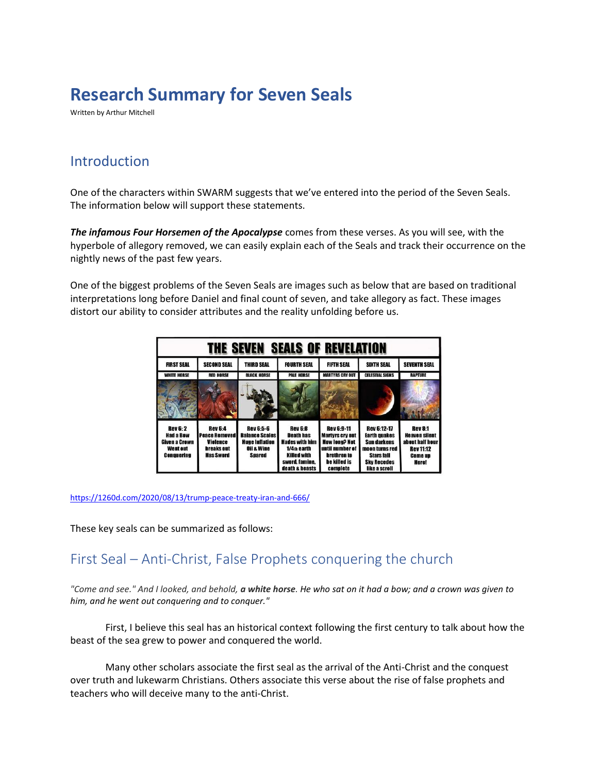# **Research Summary for Seven Seals**

Written by Arthur Mitchell

## Introduction

One of the characters within SWARM suggests that we've entered into the period of the Seven Seals. The information below will support these statements.

*The infamous Four Horsemen of the Apocalypse* comes from these verses. As you will see, with the hyperbole of allegory removed, we can easily explain each of the Seals and track their occurrence on the nightly news of the past few years.

One of the biggest problems of the Seven Seals are images such as below that are based on traditional interpretations long before Daniel and final count of seven, and take allegory as fact. These images distort our ability to consider attributes and the reality unfolding before us.

| <b>SEALS OF REVELATION</b><br>THE SEVEN                                               |                                                                                             |                                                                                                              |                                                                                                                                 |                                                                                                                                   |                                                                                                                                        |                                                                                                                 |
|---------------------------------------------------------------------------------------|---------------------------------------------------------------------------------------------|--------------------------------------------------------------------------------------------------------------|---------------------------------------------------------------------------------------------------------------------------------|-----------------------------------------------------------------------------------------------------------------------------------|----------------------------------------------------------------------------------------------------------------------------------------|-----------------------------------------------------------------------------------------------------------------|
| <b>FIRST SEAL</b>                                                                     | <b>SECOND SEAL</b>                                                                          | <b>THIRD SEAL</b>                                                                                            | <b>FOURTH SEAL</b>                                                                                                              | <b>FIFTH SEAL</b>                                                                                                                 | <b>SIXTH SEAL</b>                                                                                                                      | <b>SEVENTH SEAL</b>                                                                                             |
| <b>WHITE HORSE</b>                                                                    | <b>RED HORSE</b>                                                                            | <b>BLACK HORSE</b>                                                                                           | <b>PALE HORSE</b>                                                                                                               | <b>MARTYRS CRY OUT</b>                                                                                                            | <b>CELESTIAL SIGNS</b>                                                                                                                 | <b>RAPTURE</b>                                                                                                  |
|                                                                                       |                                                                                             |                                                                                                              |                                                                                                                                 |                                                                                                                                   |                                                                                                                                        |                                                                                                                 |
| <b>Rev 6: 2</b><br><b>Had a Bew</b><br>Given a Crown<br>Went out<br><b>Conquering</b> | <b>Rev 6:4</b><br><b>Peace Removed</b><br><b>Violence</b><br>breaks out<br><b>Has Sword</b> | <b>Rev 6:5-6</b><br><b>Balance Scales</b><br><b>Huge Inflation</b><br><b>Oil &amp; Wine</b><br><b>Spared</b> | <b>Rev 6:8</b><br><b>Death has</b><br>Hades with him<br>$1/4th$ earth<br><b>Killed with</b><br>swerd, famine,<br>death & beasts | <b>Rev 6:9-11</b><br><b>Martyrs cry out</b><br><b>How long? Not</b><br>until number of<br>brethren to<br>he killed is<br>complete | <b>Rev 6:12-17</b><br><b>Earth quakes</b><br>Sun darkens<br>moon turns red<br><b>Stars fall</b><br><b>Sky Recedes</b><br>like a scroll | <b>Rev 8:1</b><br><b>Heaven silent</b><br>about half hour<br><b>Rev 11:12</b><br><b>Come up</b><br><b>Here!</b> |

<https://1260d.com/2020/08/13/trump-peace-treaty-iran-and-666/>

These key seals can be summarized as follows:

# First Seal – Anti-Christ, False Prophets conquering the church

*"Come and see." And I looked, and behold, a white horse. He who sat on it had a bow; and a crown was given to him, and he went out conquering and to conquer."* 

First, I believe this seal has an historical context following the first century to talk about how the beast of the sea grew to power and conquered the world.

Many other scholars associate the first seal as the arrival of the Anti-Christ and the conquest over truth and lukewarm Christians. Others associate this verse about the rise of false prophets and teachers who will deceive many to the anti-Christ.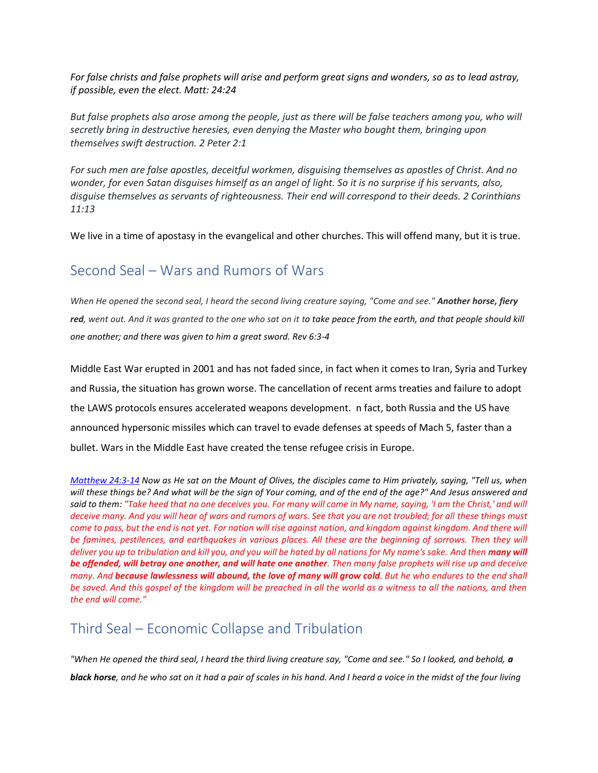*For false christs and false prophets will arise and perform great signs and wonders, so as to lead astray, if possible, even the elect. Matt: 24:24* 

*But false prophets also arose among the people, just as there will be false teachers among you, who will secretly bring in destructive heresies, even denying the Master who bought them, bringing upon themselves swift destruction. 2 Peter 2:1*

*For such men are false apostles, deceitful workmen, disguising themselves as apostles of Christ. And no wonder, for even Satan disguises himself as an angel of light. So it is no surprise if his servants, also, disguise themselves as servants of righteousness. Their end will correspond to their deeds. 2 Corinthians 11:13*

We live in a time of apostasy in the evangelical and other churches. This will offend many, but it is true.

## Second Seal – Wars and Rumors of Wars

*When He opened the second seal, I heard the second living creature saying, "Come and see." Another horse, fiery red, went out. And it was granted to the one who sat on it to take peace from the earth, and that people should kill one another; and there was given to him a great sword. Rev 6:3-4* 

Middle East War erupted in 2001 and has not faded since, in fact when it comes to Iran, Syria and Turkey and Russia, the situation has grown worse. The cancellation of recent arms treaties and failure to adopt the LAWS protocols ensures accelerated weapons development. n fact, both Russia and the US have announced hypersonic missiles which can travel to evade defenses at speeds of Mach 5, faster than a bullet. Wars in the Middle East have created the tense refugee crisis in Europe.

*[Matthew 24:3-14](https://biblia.com/bible/nkjv/Matt%2024.3-14) Now as He sat on the Mount of Olives, the disciples came to Him privately, saying, "Tell us, when will these things be? And what will be the sign of Your coming, and of the end of the age?" And Jesus answered and said to them: "Take heed that no one deceives you. For many will come in My name, saying, 'I am the Christ,' and will deceive many. And you will hear of wars and rumors of wars. See that you are not troubled; for all these things must come to pass, but the end is not yet. For nation will rise against nation, and kingdom against kingdom. And there will be famines, pestilences, and earthquakes in various places. All these are the beginning of sorrows. Then they will deliver you up to tribulation and kill you, and you will be hated by all nations for My name's sake. And then many will be offended, will betray one another, and will hate one another. Then many false prophets will rise up and deceive many. And because lawlessness will abound, the love of many will grow cold. But he who endures to the end shall be saved. And this gospel of the kingdom will be preached in all the world as a witness to all the nations, and then the end will come."*

#### Third Seal – Economic Collapse and Tribulation

*"When He opened the third seal, I heard the third living creature say, "Come and see." So I looked, and behold, a black horse, and he who sat on it had a pair of scales in his hand. And I heard a voice in the midst of the four living*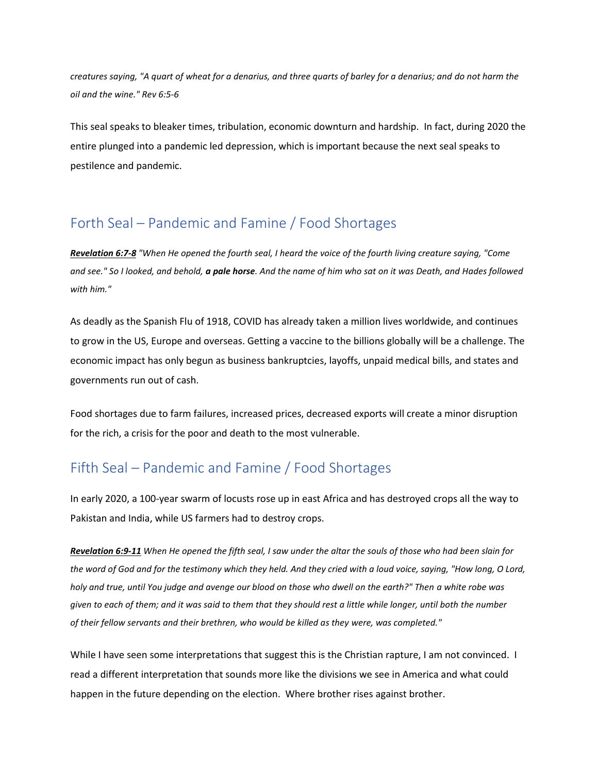*creatures saying, "A quart of wheat for a denarius, and three quarts of barley for a denarius; and do not harm the oil and the wine." Rev 6:5-6*

This seal speaks to bleaker times, tribulation, economic downturn and hardship. In fact, during 2020 the entire plunged into a pandemic led depression, which is important because the next seal speaks to pestilence and pandemic.

#### Forth Seal – Pandemic and Famine / Food Shortages

*[Revelation 6:7-8](https://biblia.com/bible/nkjv/Rev%206.7-8) "When He opened the fourth seal, I heard the voice of the fourth living creature saying, "Come and see." So I looked, and behold, a pale horse. And the name of him who sat on it was Death, and Hades followed with him."*

As deadly as the Spanish Flu of 1918, COVID has already taken a million lives worldwide, and continues to grow in the US, Europe and overseas. Getting a vaccine to the billions globally will be a challenge. The economic impact has only begun as business bankruptcies, layoffs, unpaid medical bills, and states and governments run out of cash.

Food shortages due to farm failures, increased prices, decreased exports will create a minor disruption for the rich, a crisis for the poor and death to the most vulnerable.

# Fifth Seal – Pandemic and Famine / Food Shortages

In early 2020, a 100-year swarm of locusts rose up in east Africa and has destroyed crops all the way to Pakistan and India, while US farmers had to destroy crops.

*[Revelation 6:9-11](https://biblia.com/bible/nkjv/Rev%206.9-11) When He opened the fifth seal, I saw under the altar the souls of those who had been slain for the word of God and for the testimony which they held. And they cried with a loud voice, saying, "How long, O Lord, holy and true, until You judge and avenge our blood on those who dwell on the earth?" Then a white robe was given to each of them; and it was said to them that they should rest a little while longer, until both the number of their fellow servants and their brethren, who would be killed as they were, was completed."*

While I have seen some interpretations that suggest this is the Christian rapture, I am not convinced. I read a different interpretation that sounds more like the divisions we see in America and what could happen in the future depending on the election. Where brother rises against brother.